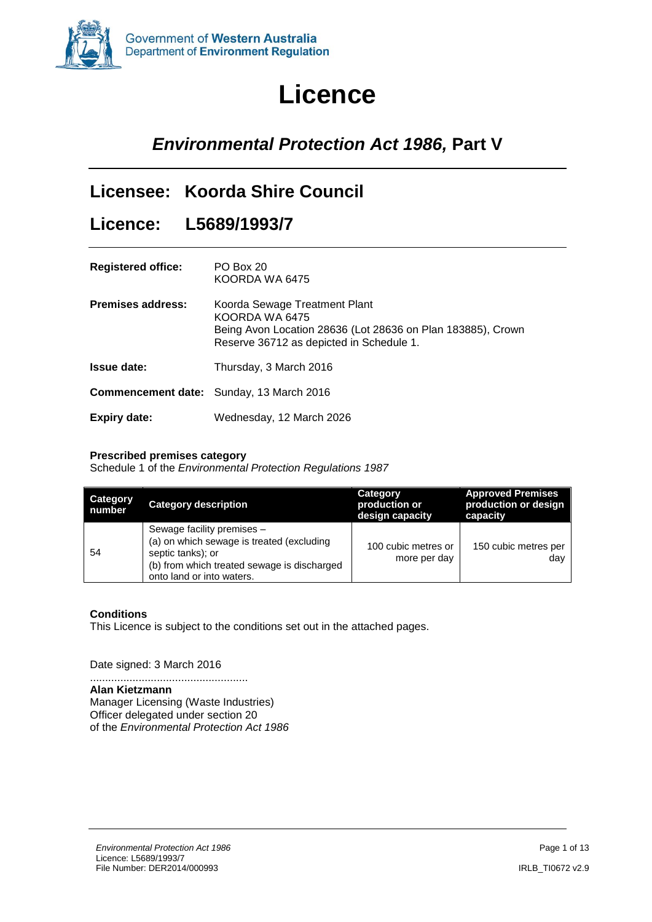

# **Licence**

# *Environmental Protection Act 1986,* **Part V**

# **Licensee: Koorda Shire Council**

### **Licence: L5689/1993/7**

| <b>Registered office:</b> | PO Box 20<br>KOORDA WA 6475                                                                                                                                |
|---------------------------|------------------------------------------------------------------------------------------------------------------------------------------------------------|
| <b>Premises address:</b>  | Koorda Sewage Treatment Plant<br>KOORDA WA 6475<br>Being Avon Location 28636 (Lot 28636 on Plan 183885), Crown<br>Reserve 36712 as depicted in Schedule 1. |
| <b>Issue date:</b>        | Thursday, 3 March 2016                                                                                                                                     |
|                           | <b>Commencement date:</b> Sunday, 13 March 2016                                                                                                            |
| Expiry date:              | Wednesday, 12 March 2026                                                                                                                                   |

#### **Prescribed premises category**

Schedule 1 of the *Environmental Protection Regulations 1987*

| <b>Category</b><br>number | <b>Category description</b>                                                                                                                                              | Category<br>production or<br>design capacity | <b>Approved Premises</b><br>production or design<br>capacity |
|---------------------------|--------------------------------------------------------------------------------------------------------------------------------------------------------------------------|----------------------------------------------|--------------------------------------------------------------|
| 54                        | Sewage facility premises -<br>(a) on which sewage is treated (excluding<br>septic tanks); or<br>(b) from which treated sewage is discharged<br>onto land or into waters. | 100 cubic metres or<br>more per day          | 150 cubic metres per<br>dav                                  |

#### **Conditions**

This Licence is subject to the conditions set out in the attached pages.

Date signed: 3 March 2016

.................................................... **Alan Kietzmann** Manager Licensing (Waste Industries) Officer delegated under section 20 of the *Environmental Protection Act 1986*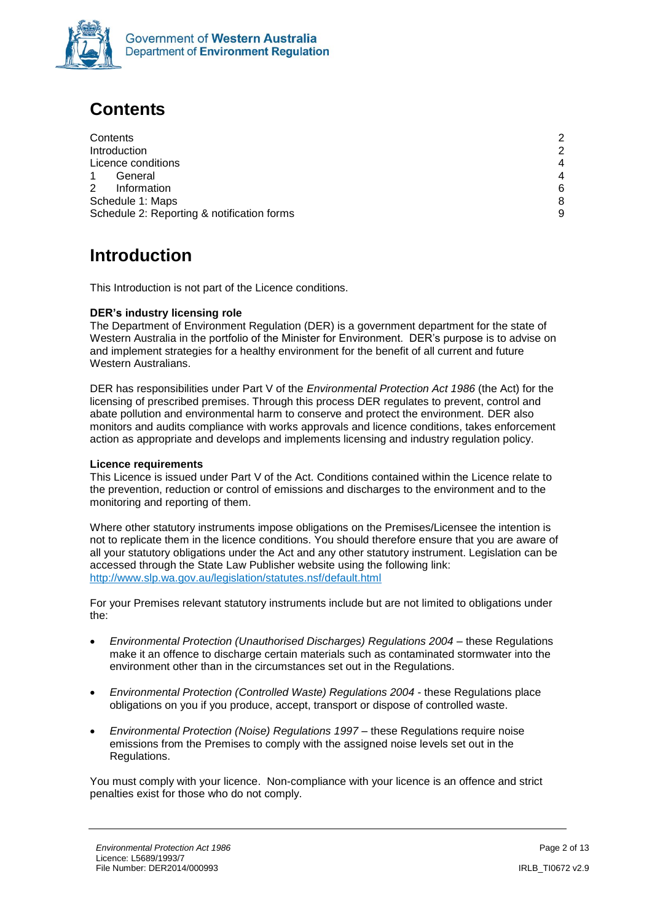

# <span id="page-1-0"></span>**Contents**

| Contents                                   | 2              |
|--------------------------------------------|----------------|
| Introduction                               | 2              |
| Licence conditions                         | $\overline{4}$ |
| General                                    | $\overline{4}$ |
| 2<br>Information                           | 6              |
| Schedule 1: Maps                           | 8              |
| Schedule 2: Reporting & notification forms |                |

# <span id="page-1-1"></span>**Introduction**

This Introduction is not part of the Licence conditions.

#### **DER's industry licensing role**

The Department of Environment Regulation (DER) is a government department for the state of Western Australia in the portfolio of the Minister for Environment. DER's purpose is to advise on and implement strategies for a healthy environment for the benefit of all current and future Western Australians.

DER has responsibilities under Part V of the *Environmental Protection Act 1986* (the Act) for the licensing of prescribed premises. Through this process DER regulates to prevent, control and abate pollution and environmental harm to conserve and protect the environment. DER also monitors and audits compliance with works approvals and licence conditions, takes enforcement action as appropriate and develops and implements licensing and industry regulation policy.

#### **Licence requirements**

This Licence is issued under Part V of the Act. Conditions contained within the Licence relate to the prevention, reduction or control of emissions and discharges to the environment and to the monitoring and reporting of them.

Where other statutory instruments impose obligations on the Premises/Licensee the intention is not to replicate them in the licence conditions. You should therefore ensure that you are aware of all your statutory obligations under the Act and any other statutory instrument. Legislation can be accessed through the State Law Publisher website using the following link: <http://www.slp.wa.gov.au/legislation/statutes.nsf/default.html>

For your Premises relevant statutory instruments include but are not limited to obligations under the:

- *Environmental Protection (Unauthorised Discharges) Regulations 2004* these Regulations make it an offence to discharge certain materials such as contaminated stormwater into the environment other than in the circumstances set out in the Regulations.
- *Environmental Protection (Controlled Waste) Regulations 2004* these Regulations place obligations on you if you produce, accept, transport or dispose of controlled waste.
- *Environmental Protection (Noise) Regulations 1997 these Regulations require noise* emissions from the Premises to comply with the assigned noise levels set out in the Regulations.

You must comply with your licence. Non-compliance with your licence is an offence and strict penalties exist for those who do not comply.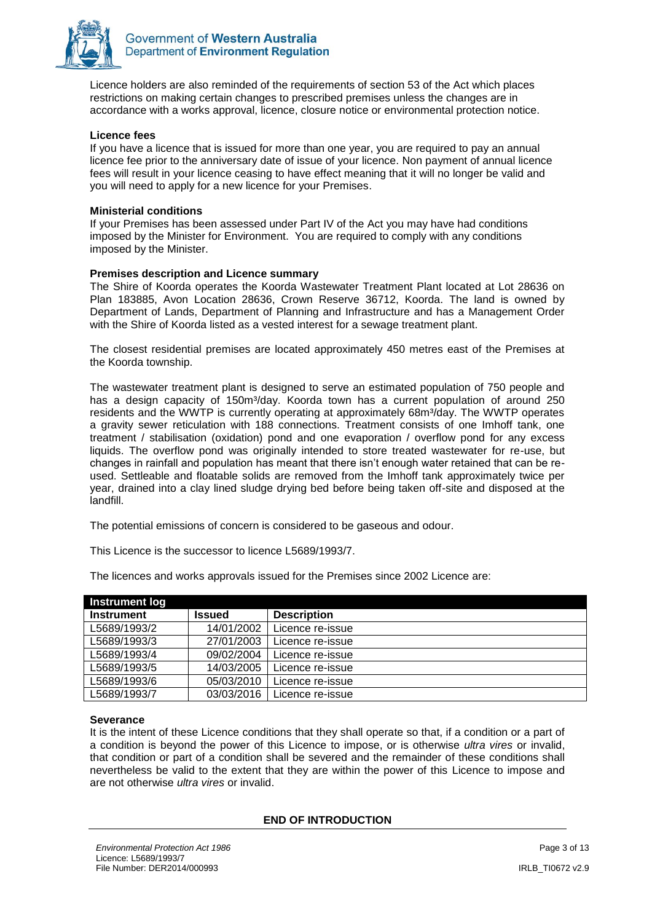

Licence holders are also reminded of the requirements of section 53 of the Act which places restrictions on making certain changes to prescribed premises unless the changes are in accordance with a works approval, licence, closure notice or environmental protection notice.

#### **Licence fees**

If you have a licence that is issued for more than one year, you are required to pay an annual licence fee prior to the anniversary date of issue of your licence. Non payment of annual licence fees will result in your licence ceasing to have effect meaning that it will no longer be valid and you will need to apply for a new licence for your Premises.

#### **Ministerial conditions**

If your Premises has been assessed under Part IV of the Act you may have had conditions imposed by the Minister for Environment. You are required to comply with any conditions imposed by the Minister.

#### **Premises description and Licence summary**

The Shire of Koorda operates the Koorda Wastewater Treatment Plant located at Lot 28636 on Plan 183885, Avon Location 28636, Crown Reserve 36712, Koorda. The land is owned by Department of Lands, Department of Planning and Infrastructure and has a Management Order with the Shire of Koorda listed as a vested interest for a sewage treatment plant.

The closest residential premises are located approximately 450 metres east of the Premises at the Koorda township.

The wastewater treatment plant is designed to serve an estimated population of 750 people and has a design capacity of 150m<sup>3</sup>/day. Koorda town has a current population of around 250 residents and the WWTP is currently operating at approximately 68m<sup>3</sup>/day. The WWTP operates a gravity sewer reticulation with 188 connections. Treatment consists of one Imhoff tank, one treatment / stabilisation (oxidation) pond and one evaporation / overflow pond for any excess liquids. The overflow pond was originally intended to store treated wastewater for re-use, but changes in rainfall and population has meant that there isn't enough water retained that can be reused. Settleable and floatable solids are removed from the Imhoff tank approximately twice per year, drained into a clay lined sludge drying bed before being taken off-site and disposed at the landfill.

The potential emissions of concern is considered to be gaseous and odour.

This Licence is the successor to licence L5689/1993/7.

| Instrument log    |               |                    |
|-------------------|---------------|--------------------|
| <b>Instrument</b> | <b>Issued</b> | <b>Description</b> |
| L5689/1993/2      | 14/01/2002    | Licence re-issue   |
| L5689/1993/3      | 27/01/2003    | Licence re-issue   |
| L5689/1993/4      | 09/02/2004    | Licence re-issue   |
| L5689/1993/5      | 14/03/2005    | Licence re-issue   |
| L5689/1993/6      | 05/03/2010    | Licence re-issue   |
| L5689/1993/7      | 03/03/2016    | Licence re-issue   |

The licences and works approvals issued for the Premises since 2002 Licence are:

#### **Severance**

It is the intent of these Licence conditions that they shall operate so that, if a condition or a part of a condition is beyond the power of this Licence to impose, or is otherwise *ultra vires* or invalid, that condition or part of a condition shall be severed and the remainder of these conditions shall nevertheless be valid to the extent that they are within the power of this Licence to impose and are not otherwise *ultra vires* or invalid.

#### **END OF INTRODUCTION**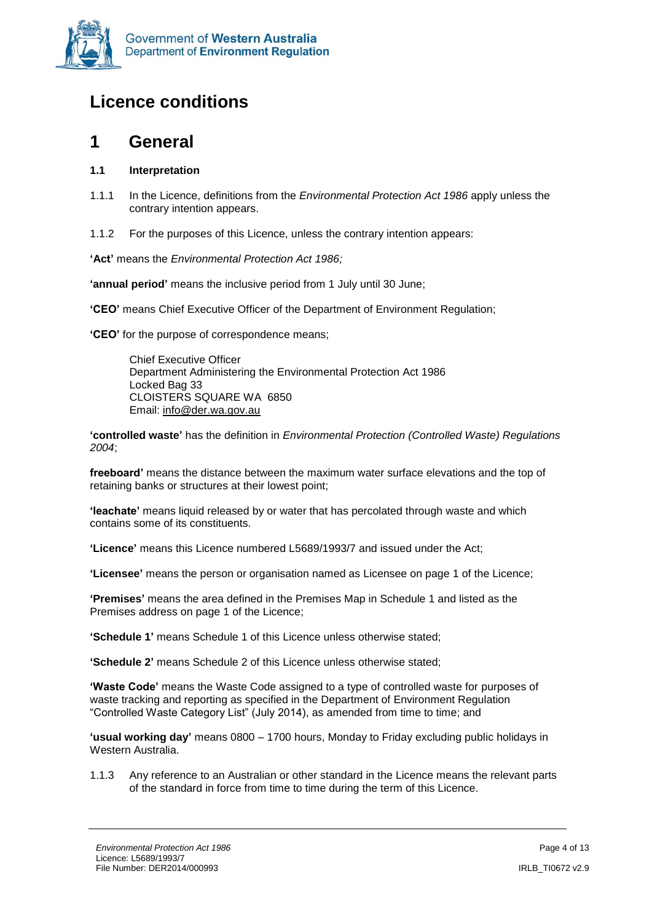

# <span id="page-3-0"></span>**Licence conditions**

### <span id="page-3-1"></span>**1 General**

#### **1.1 Interpretation**

- 1.1.1 In the Licence, definitions from the *Environmental Protection Act 1986* apply unless the contrary intention appears.
- 1.1.2 For the purposes of this Licence, unless the contrary intention appears:

**'Act'** means the *Environmental Protection Act 1986;*

**'annual period'** means the inclusive period from 1 July until 30 June;

**'CEO'** means Chief Executive Officer of the Department of Environment Regulation;

**'CEO'** for the purpose of correspondence means;

Chief Executive Officer Department Administering the Environmental Protection Act 1986 Locked Bag 33 CLOISTERS SQUARE WA 6850 Email: [info@der.wa.gov.au](mailto:info@der.wa.gov.au)

**'controlled waste'** has the definition in *Environmental Protection (Controlled Waste) Regulations 2004*;

**freeboard'** means the distance between the maximum water surface elevations and the top of retaining banks or structures at their lowest point;

**'leachate'** means liquid released by or water that has percolated through waste and which contains some of its constituents.

**'Licence'** means this Licence numbered L5689/1993/7 and issued under the Act;

**'Licensee'** means the person or organisation named as Licensee on page 1 of the Licence;

**'Premises'** means the area defined in the Premises Map in Schedule 1 and listed as the Premises address on page 1 of the Licence;

**'Schedule 1'** means Schedule 1 of this Licence unless otherwise stated;

**'Schedule 2'** means Schedule 2 of this Licence unless otherwise stated;

**'Waste Code'** means the Waste Code assigned to a type of controlled waste for purposes of waste tracking and reporting as specified in the Department of Environment Regulation "Controlled Waste Category List" (July 2014), as amended from time to time; and

**'usual working day'** means 0800 – 1700 hours, Monday to Friday excluding public holidays in Western Australia.

1.1.3 Any reference to an Australian or other standard in the Licence means the relevant parts of the standard in force from time to time during the term of this Licence.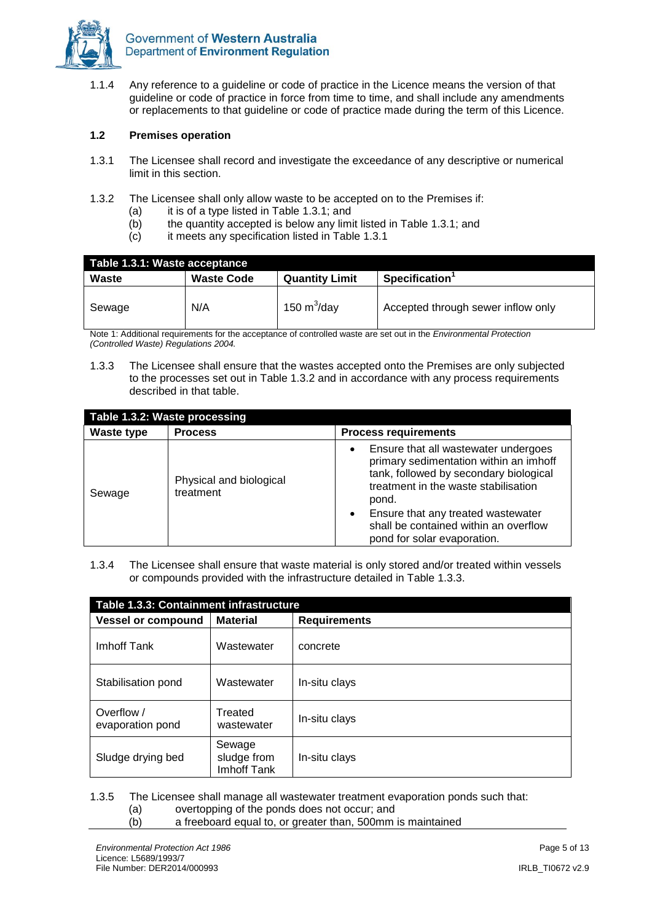

1.1.4 Any reference to a guideline or code of practice in the Licence means the version of that guideline or code of practice in force from time to time, and shall include any amendments or replacements to that guideline or code of practice made during the term of this Licence.

#### **1.2 Premises operation**

- 1.3.1 The Licensee shall record and investigate the exceedance of any descriptive or numerical limit in this section.
- 1.3.2 The Licensee shall only allow waste to be accepted on to the Premises if:
	- (a) it is of a type listed in Table 1.3.1; and
	- (b) the quantity accepted is below any limit listed in Table 1.3.1; and
	- (c) it meets any specification listed in Table 1.3.1

| Table 1.3.1: Waste acceptance |                   |                       |                                    |
|-------------------------------|-------------------|-----------------------|------------------------------------|
| Waste                         | <b>Waste Code</b> | <b>Quantity Limit</b> | Specification <sup>1</sup>         |
| Sewage                        | N/A               | 150 $m^3$ /day        | Accepted through sewer inflow only |

Note 1: Additional requirements for the acceptance of controlled waste are set out in the *Environmental Protection (Controlled Waste) Regulations 2004.* 

1.3.3 The Licensee shall ensure that the wastes accepted onto the Premises are only subjected to the processes set out in Table 1.3.2 and in accordance with any process requirements described in that table.

| Table 1.3.2: Waste processing |                                      |                                                                                                                                                                                                                                                                                                                   |
|-------------------------------|--------------------------------------|-------------------------------------------------------------------------------------------------------------------------------------------------------------------------------------------------------------------------------------------------------------------------------------------------------------------|
| <b>Waste type</b>             | <b>Process</b>                       | <b>Process requirements</b>                                                                                                                                                                                                                                                                                       |
| Sewage                        | Physical and biological<br>treatment | Ensure that all wastewater undergoes<br>$\bullet$<br>primary sedimentation within an imhoff<br>tank, followed by secondary biological<br>treatment in the waste stabilisation<br>pond.<br>Ensure that any treated wastewater<br>$\bullet$<br>shall be contained within an overflow<br>pond for solar evaporation. |

1.3.4 The Licensee shall ensure that waste material is only stored and/or treated within vessels or compounds provided with the infrastructure detailed in Table 1.3.3.

| Table 1.3.3: Containment infrastructure |                                      |                     |
|-----------------------------------------|--------------------------------------|---------------------|
| <b>Vessel or compound</b>               | <b>Material</b>                      | <b>Requirements</b> |
| Imhoff Tank                             | Wastewater                           | concrete            |
| Stabilisation pond                      | Wastewater                           | In-situ clays       |
| Overflow /<br>evaporation pond          | Treated<br>wastewater                | In-situ clays       |
| Sludge drying bed                       | Sewage<br>sludge from<br>Imhoff Tank | In-situ clays       |

1.3.5 The Licensee shall manage all wastewater treatment evaporation ponds such that:

- (a) overtopping of the ponds does not occur; and
- (b) a freeboard equal to, or greater than, 500mm is maintained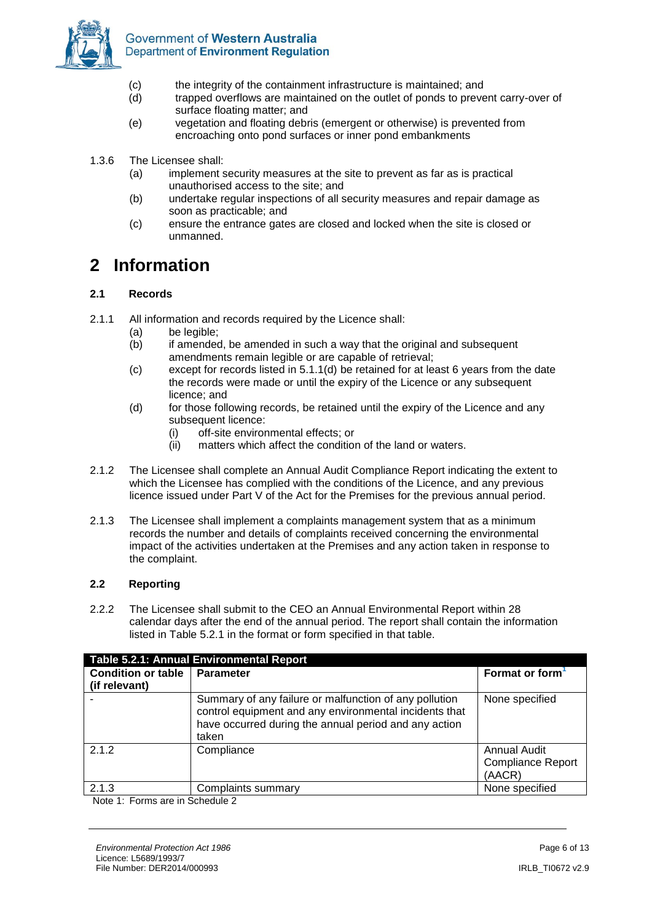

- (c) the integrity of the containment infrastructure is maintained; and
- (d) trapped overflows are maintained on the outlet of ponds to prevent carry-over of surface floating matter; and
- (e) vegetation and floating debris (emergent or otherwise) is prevented from encroaching onto pond surfaces or inner pond embankments
- 1.3.6 The Licensee shall:
	- (a) implement security measures at the site to prevent as far as is practical unauthorised access to the site; and
	- (b) undertake regular inspections of all security measures and repair damage as soon as practicable; and
	- (c) ensure the entrance gates are closed and locked when the site is closed or unmanned.

### <span id="page-5-0"></span>**2 Information**

#### **2.1 Records**

- 2.1.1 All information and records required by the Licence shall:
	- (a) be legible;
	- (b) if amended, be amended in such a way that the original and subsequent amendments remain legible or are capable of retrieval;
	- (c) except for records listed in 5.1.1(d) be retained for at least 6 years from the date the records were made or until the expiry of the Licence or any subsequent licence; and
	- (d) for those following records, be retained until the expiry of the Licence and any subsequent licence:
		- (i) off-site environmental effects; or
		- (ii) matters which affect the condition of the land or waters.
- 2.1.2 The Licensee shall complete an Annual Audit Compliance Report indicating the extent to which the Licensee has complied with the conditions of the Licence, and any previous licence issued under Part V of the Act for the Premises for the previous annual period.
- 2.1.3 The Licensee shall implement a complaints management system that as a minimum records the number and details of complaints received concerning the environmental impact of the activities undertaken at the Premises and any action taken in response to the complaint.

#### **2.2 Reporting**

2.2.2 The Licensee shall submit to the CEO an Annual Environmental Report within 28 calendar days after the end of the annual period. The report shall contain the information listed in Table 5.2.1 in the format or form specified in that table.

|                                 | Table 5.2.1: Annual Environmental Report                                                                                                                                           |                                                    |  |  |
|---------------------------------|------------------------------------------------------------------------------------------------------------------------------------------------------------------------------------|----------------------------------------------------|--|--|
| <b>Condition or table</b>       | <b>Parameter</b>                                                                                                                                                                   | Format or form                                     |  |  |
| (if relevant)                   |                                                                                                                                                                                    |                                                    |  |  |
|                                 | Summary of any failure or malfunction of any pollution<br>control equipment and any environmental incidents that<br>have occurred during the annual period and any action<br>taken | None specified                                     |  |  |
| 2.1.2                           | Compliance                                                                                                                                                                         | Annual Audit<br><b>Compliance Report</b><br>(AACR) |  |  |
| 2.1.3                           | Complaints summary                                                                                                                                                                 | None specified                                     |  |  |
| Note 1: Forms are in Schedule 2 |                                                                                                                                                                                    |                                                    |  |  |

Note 1: Forms are in Schedule 2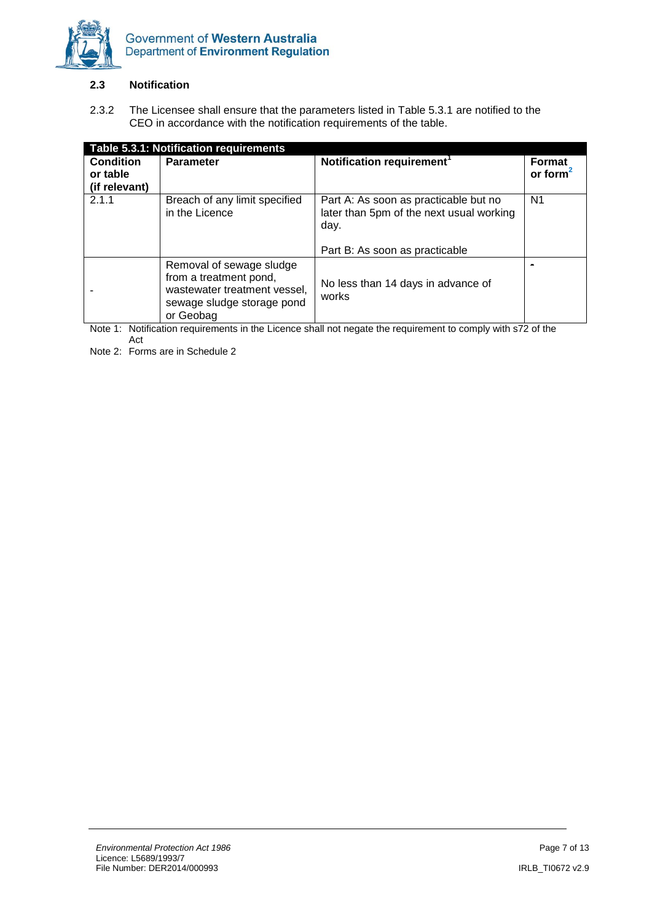

#### **2.3 Notification**

2.3.2 The Licensee shall ensure that the parameters listed in Table 5.3.1 are notified to the CEO in accordance with the notification requirements of the table.

| Table 5.3.1: Notification requirements        |                                                                                                                               |                                                                                                                             |                                 |
|-----------------------------------------------|-------------------------------------------------------------------------------------------------------------------------------|-----------------------------------------------------------------------------------------------------------------------------|---------------------------------|
| <b>Condition</b><br>or table<br>(if relevant) | <b>Parameter</b>                                                                                                              | Notification requirement <sup>1</sup>                                                                                       | <b>Format</b><br>or form $\sim$ |
| 2.1.1                                         | Breach of any limit specified<br>in the Licence                                                                               | Part A: As soon as practicable but no<br>later than 5pm of the next usual working<br>day.<br>Part B: As soon as practicable | N1                              |
|                                               | Removal of sewage sludge<br>from a treatment pond,<br>wastewater treatment vessel,<br>sewage sludge storage pond<br>or Geobag | No less than 14 days in advance of<br>works                                                                                 |                                 |

Note 1: Notification requirements in the Licence shall not negate the requirement to comply with s72 of the Act

Note 2: Forms are in Schedule 2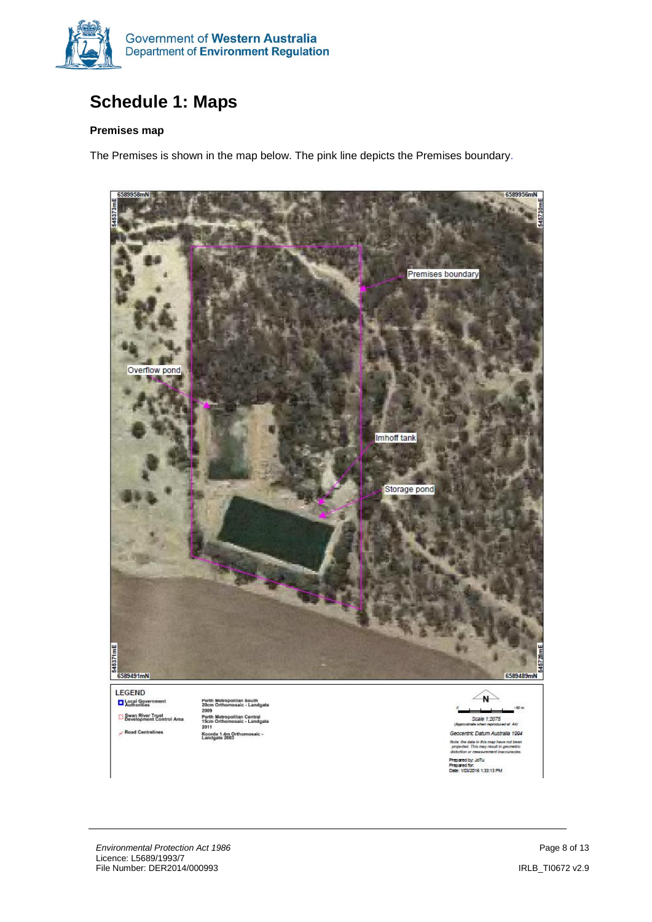

# <span id="page-7-0"></span>**Schedule 1: Maps**

#### **Premises map**

The Premises is shown in the map below. The pink line depicts the Premises boundary.

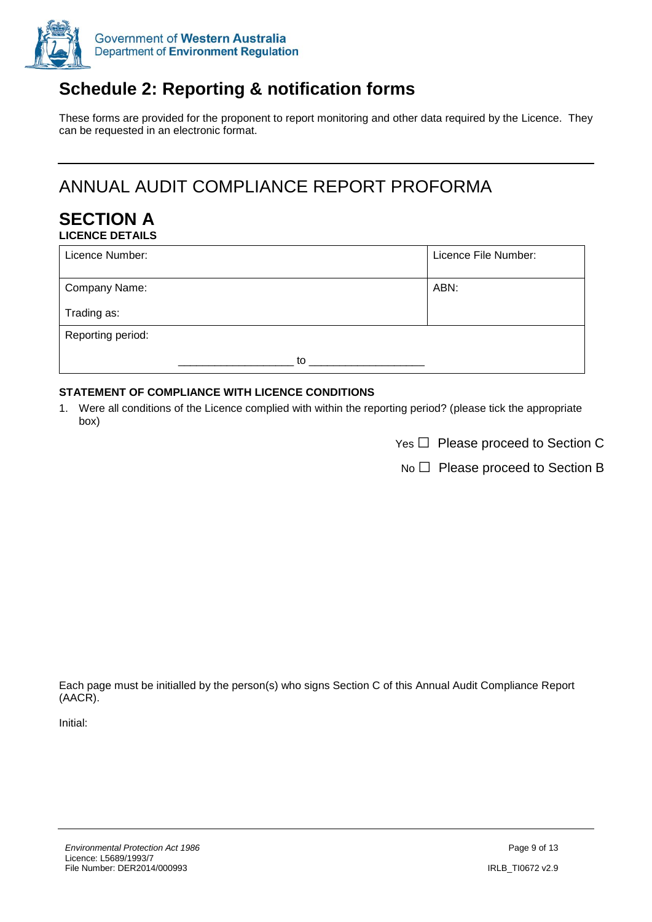

# <span id="page-8-0"></span>**Schedule 2: Reporting & notification forms**

These forms are provided for the proponent to report monitoring and other data required by the Licence. They can be requested in an electronic format.

# ANNUAL AUDIT COMPLIANCE REPORT PROFORMA

#### **SECTION A LICENCE DETAILS**

| Licence Number:   |    | Licence File Number: |
|-------------------|----|----------------------|
| Company Name:     |    | ABN:                 |
| Trading as:       |    |                      |
| Reporting period: |    |                      |
|                   | to |                      |

#### **STATEMENT OF COMPLIANCE WITH LICENCE CONDITIONS**

- 1. Were all conditions of the Licence complied with within the reporting period? (please tick the appropriate box)
	- $Yes \Box$  Please proceed to Section C

 $No \Box$  Please proceed to Section B

Each page must be initialled by the person(s) who signs Section C of this Annual Audit Compliance Report (AACR).

Initial: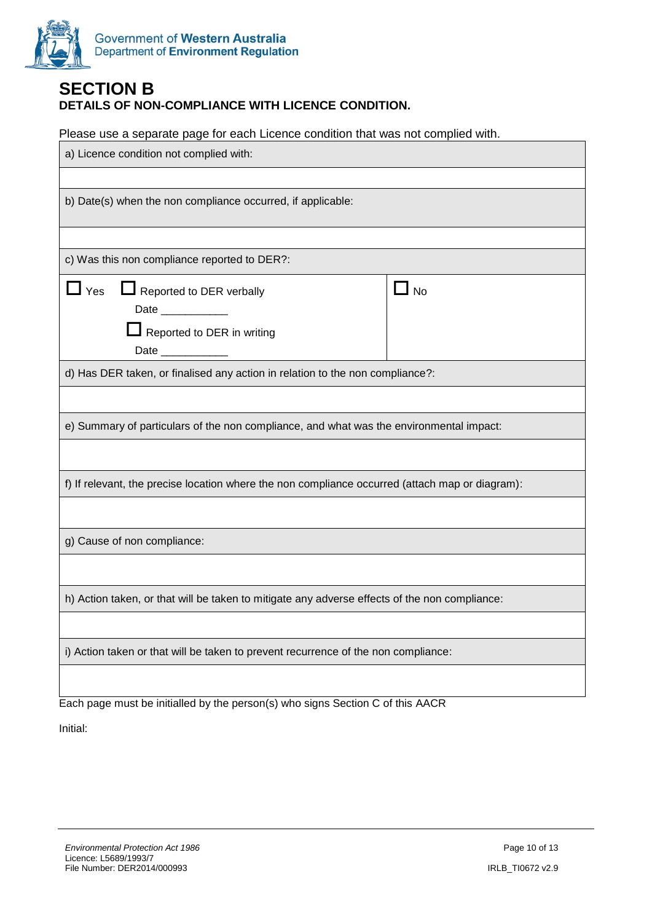

#### **SECTION B DETAILS OF NON-COMPLIANCE WITH LICENCE CONDITION.**

Please use a separate page for each Licence condition that was not complied with.

| a) Licence condition not complied with:                                                                                 |                             |  |
|-------------------------------------------------------------------------------------------------------------------------|-----------------------------|--|
|                                                                                                                         |                             |  |
| b) Date(s) when the non compliance occurred, if applicable:                                                             |                             |  |
|                                                                                                                         |                             |  |
| c) Was this non compliance reported to DER?:                                                                            |                             |  |
| $\sqcup$ Yes<br>Reported to DER verbally<br>Date ___________<br>$\Box$ Reported to DER in writing<br>Date _____________ | $\mathsf{\underline{I}}$ No |  |
| d) Has DER taken, or finalised any action in relation to the non compliance?:                                           |                             |  |
|                                                                                                                         |                             |  |
| e) Summary of particulars of the non compliance, and what was the environmental impact:                                 |                             |  |
|                                                                                                                         |                             |  |
| f) If relevant, the precise location where the non compliance occurred (attach map or diagram):                         |                             |  |
|                                                                                                                         |                             |  |
| g) Cause of non compliance:                                                                                             |                             |  |
|                                                                                                                         |                             |  |
| h) Action taken, or that will be taken to mitigate any adverse effects of the non compliance:                           |                             |  |
|                                                                                                                         |                             |  |
| i) Action taken or that will be taken to prevent recurrence of the non compliance:                                      |                             |  |
|                                                                                                                         |                             |  |

Each page must be initialled by the person(s) who signs Section C of this AACR

Initial: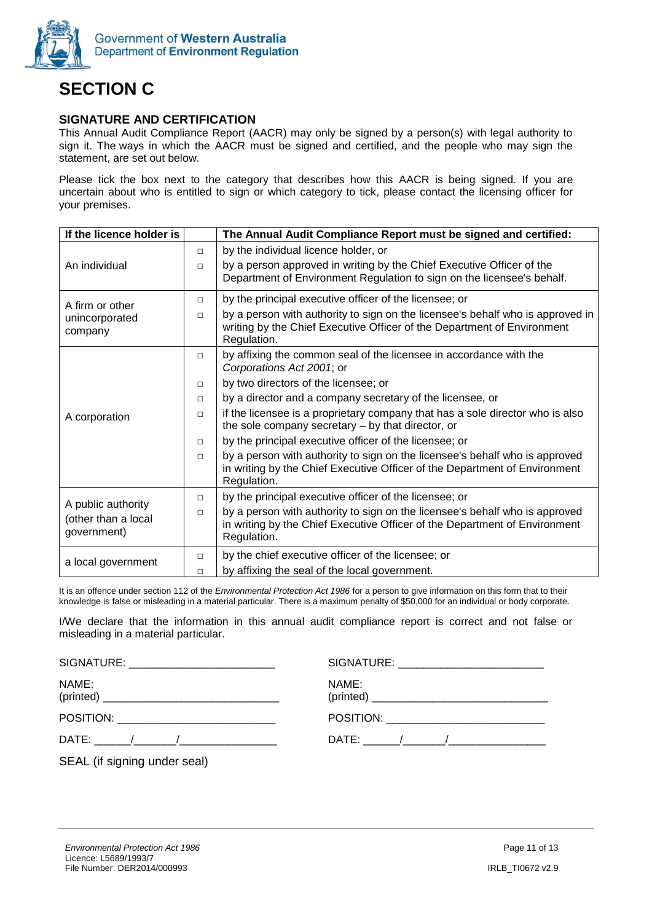

# **SECTION C**

#### **SIGNATURE AND CERTIFICATION**

This Annual Audit Compliance Report (AACR) may only be signed by a person(s) with legal authority to sign it. The ways in which the AACR must be signed and certified, and the people who may sign the statement, are set out below.

Please tick the box next to the category that describes how this AACR is being signed. If you are uncertain about who is entitled to sign or which category to tick, please contact the licensing officer for your premises.

| If the licence holder is                                 |        | The Annual Audit Compliance Report must be signed and certified:                                                                                                         |
|----------------------------------------------------------|--------|--------------------------------------------------------------------------------------------------------------------------------------------------------------------------|
|                                                          | $\Box$ | by the individual licence holder, or                                                                                                                                     |
| An individual                                            | $\Box$ | by a person approved in writing by the Chief Executive Officer of the<br>Department of Environment Regulation to sign on the licensee's behalf.                          |
| A firm or other                                          | $\Box$ | by the principal executive officer of the licensee; or                                                                                                                   |
| unincorporated<br>company                                | $\Box$ | by a person with authority to sign on the licensee's behalf who is approved in<br>writing by the Chief Executive Officer of the Department of Environment<br>Regulation. |
|                                                          | $\Box$ | by affixing the common seal of the licensee in accordance with the<br>Corporations Act 2001; or                                                                          |
|                                                          | $\Box$ | by two directors of the licensee; or                                                                                                                                     |
|                                                          | $\Box$ | by a director and a company secretary of the licensee, or                                                                                                                |
| A corporation                                            | $\Box$ | if the licensee is a proprietary company that has a sole director who is also<br>the sole company secretary – by that director, or                                       |
|                                                          | $\Box$ | by the principal executive officer of the licensee; or                                                                                                                   |
|                                                          | $\Box$ | by a person with authority to sign on the licensee's behalf who is approved<br>in writing by the Chief Executive Officer of the Department of Environment<br>Regulation. |
|                                                          | $\Box$ | by the principal executive officer of the licensee; or                                                                                                                   |
| A public authority<br>(other than a local<br>government) | $\Box$ | by a person with authority to sign on the licensee's behalf who is approved<br>in writing by the Chief Executive Officer of the Department of Environment<br>Regulation. |
| a local government                                       | $\Box$ | by the chief executive officer of the licensee; or                                                                                                                       |
|                                                          | $\Box$ | by affixing the seal of the local government.                                                                                                                            |

It is an offence under section 112 of the *Environmental Protection Act 1986* for a person to give information on this form that to their knowledge is false or misleading in a material particular. There is a maximum penalty of \$50,000 for an individual or body corporate.

I/We declare that the information in this annual audit compliance report is correct and not false or misleading in a material particular.

| SIGNATURE: _________________________                                                                                                                                                                                                                                                                                               |       |
|------------------------------------------------------------------------------------------------------------------------------------------------------------------------------------------------------------------------------------------------------------------------------------------------------------------------------------|-------|
| NAME:                                                                                                                                                                                                                                                                                                                              | NAME: |
|                                                                                                                                                                                                                                                                                                                                    |       |
|                                                                                                                                                                                                                                                                                                                                    |       |
| $\mathsf{OPT}$ and $\mathsf{OPT}$ are $\mathsf{OPT}$ and $\mathsf{OPT}$ are $\mathsf{OPT}$ and $\mathsf{OPT}$ are $\mathsf{OPT}$ and $\mathsf{OPT}$ are $\mathsf{OPT}$ are $\mathsf{OPT}$ and $\mathsf{OPT}$ are $\mathsf{OPT}$ are $\mathsf{OPT}$ are $\mathsf{OPT}$ are $\mathsf{OPT}$ are $\mathsf{OPT}$ are $\mathsf{OPT}$ are |       |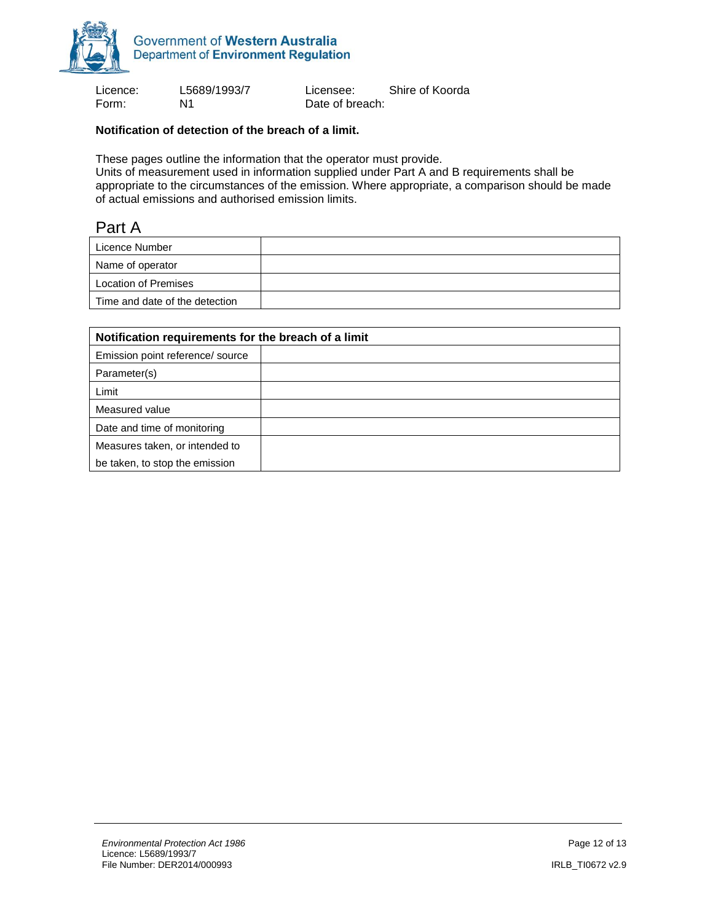

Form: N1 N1 Date of breach:

Licence: L5689/1993/7 Licensee: Shire of Koorda

#### **Notification of detection of the breach of a limit.**

These pages outline the information that the operator must provide.

Units of measurement used in information supplied under Part A and B requirements shall be appropriate to the circumstances of the emission. Where appropriate, a comparison should be made of actual emissions and authorised emission limits.

#### Part A

| Licence Number                 |  |
|--------------------------------|--|
| Name of operator               |  |
| Location of Premises           |  |
| Time and date of the detection |  |

| Notification requirements for the breach of a limit |  |  |
|-----------------------------------------------------|--|--|
| Emission point reference/ source                    |  |  |
| Parameter(s)                                        |  |  |
| Limit                                               |  |  |
| Measured value                                      |  |  |
| Date and time of monitoring                         |  |  |
| Measures taken, or intended to                      |  |  |
| be taken, to stop the emission                      |  |  |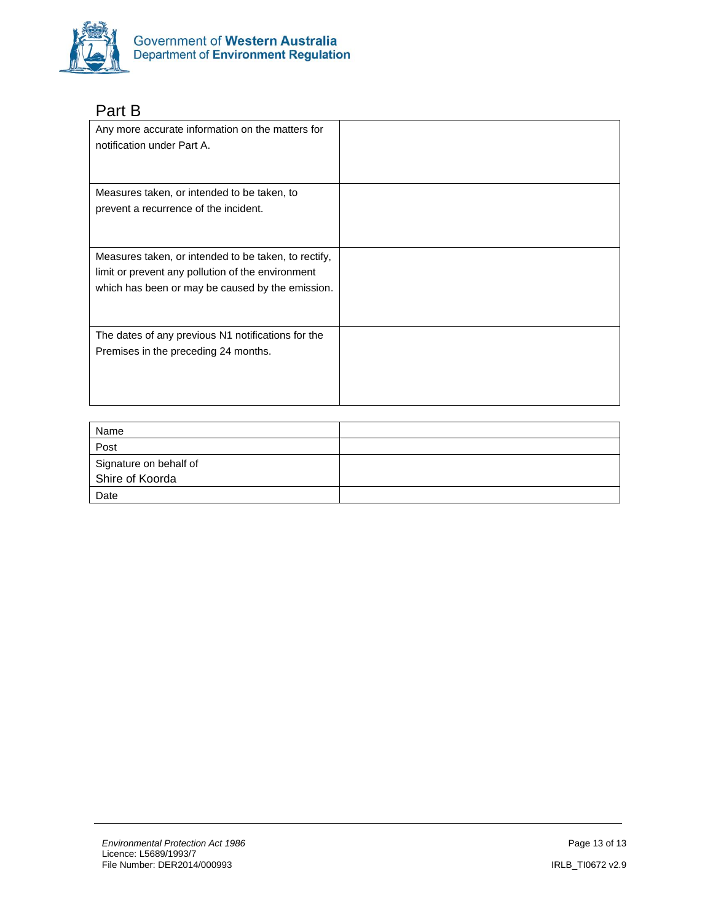

# Part B

| Any more accurate information on the matters for<br>notification under Part A.                                                                                |  |
|---------------------------------------------------------------------------------------------------------------------------------------------------------------|--|
| Measures taken, or intended to be taken, to<br>prevent a recurrence of the incident.                                                                          |  |
| Measures taken, or intended to be taken, to rectify,<br>limit or prevent any pollution of the environment<br>which has been or may be caused by the emission. |  |
| The dates of any previous N1 notifications for the<br>Premises in the preceding 24 months.                                                                    |  |

| Name                   |  |
|------------------------|--|
| Post                   |  |
| Signature on behalf of |  |
| Shire of Koorda        |  |
| Date                   |  |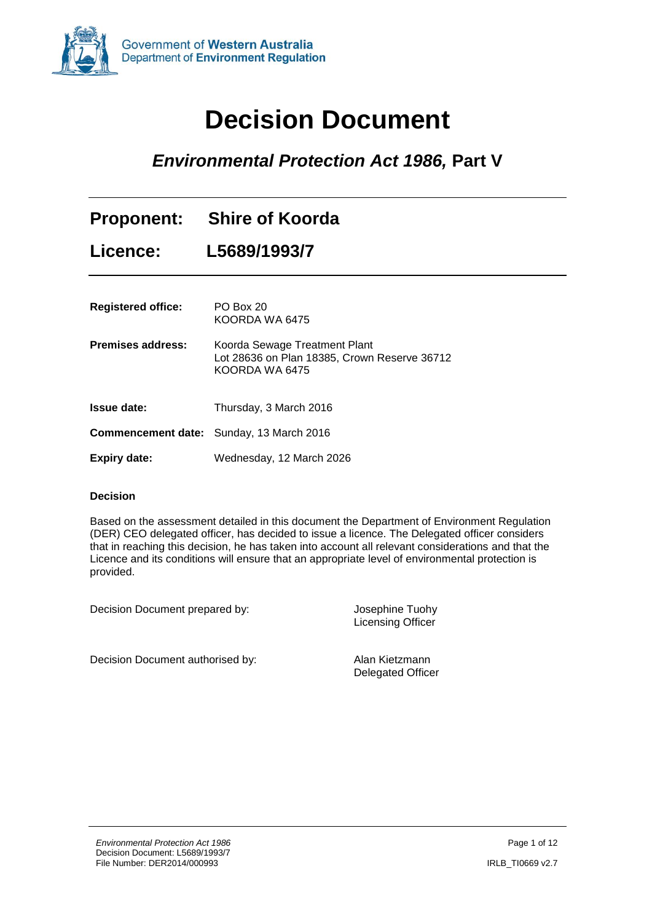<span id="page-13-0"></span>

# **Decision Document**

# *Environmental Protection Act 1986,* **Part V**

|                           | Proponent: Shire of Koorda                                                                      |
|---------------------------|-------------------------------------------------------------------------------------------------|
| Licence:                  | L5689/1993/7                                                                                    |
| <b>Registered office:</b> | PO Box 20<br>KOORDA WA 6475                                                                     |
| <b>Premises address:</b>  | Koorda Sewage Treatment Plant<br>Lot 28636 on Plan 18385, Crown Reserve 36712<br>KOORDA WA 6475 |
| <b>Issue date:</b>        | Thursday, 3 March 2016                                                                          |
|                           | <b>Commencement date:</b> Sunday, 13 March 2016                                                 |
| <b>Expiry date:</b>       | Wednesday, 12 March 2026                                                                        |

#### **Decision**

Based on the assessment detailed in this document the Department of Environment Regulation (DER) CEO delegated officer, has decided to issue a licence. The Delegated officer considers that in reaching this decision, he has taken into account all relevant considerations and that the Licence and its conditions will ensure that an appropriate level of environmental protection is provided.

Decision Document prepared by: Josephine Tuohy

Licensing Officer

Decision Document authorised by: Alan Kietzmann

Delegated Officer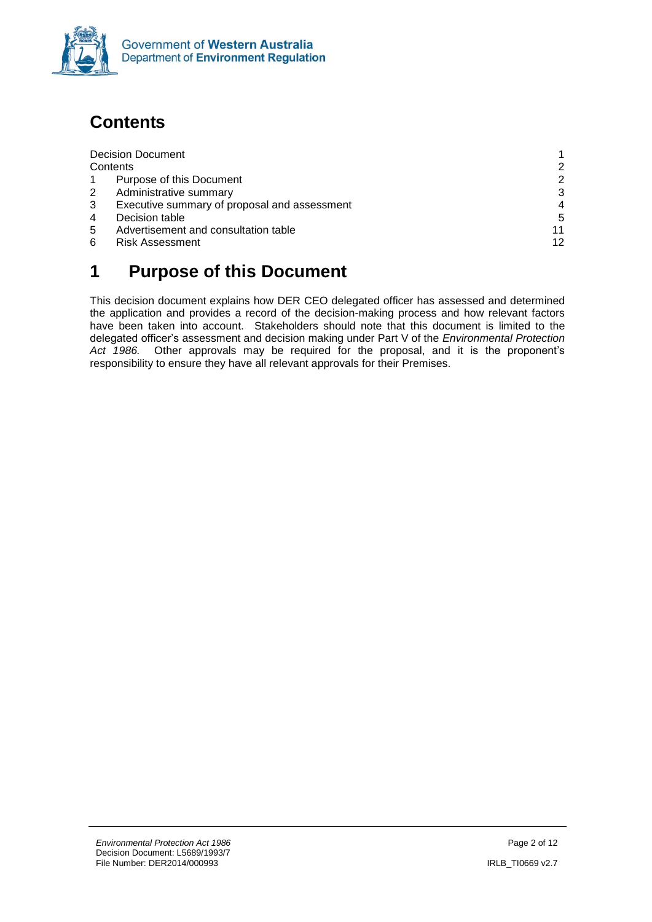

# <span id="page-14-0"></span>**Contents**

|   | <b>Decision Document</b>                     |                |
|---|----------------------------------------------|----------------|
|   | Contents                                     | $\mathcal{P}$  |
|   | Purpose of this Document                     | $\mathcal{P}$  |
| 2 | Administrative summary                       | 3              |
| 3 | Executive summary of proposal and assessment | $\overline{4}$ |
| 4 | Decision table                               | 5              |
| 5 | Advertisement and consultation table         | 11             |
| 6 | <b>Risk Assessment</b>                       | 12             |
|   |                                              |                |

# <span id="page-14-1"></span>**1 Purpose of this Document**

This decision document explains how DER CEO delegated officer has assessed and determined the application and provides a record of the decision-making process and how relevant factors have been taken into account. Stakeholders should note that this document is limited to the delegated officer's assessment and decision making under Part V of the *Environmental Protection Act 1986.* Other approvals may be required for the proposal, and it is the proponent's responsibility to ensure they have all relevant approvals for their Premises.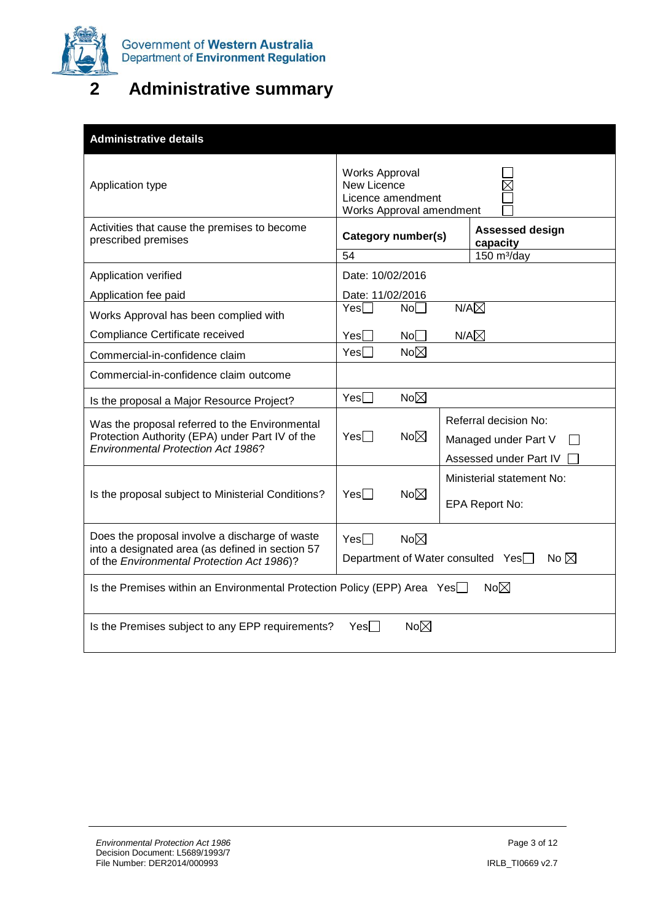

# <span id="page-15-0"></span>**2 Administrative summary**

| <b>Administrative details</b>                                                                                                                    |                                                                                |                                                                         |
|--------------------------------------------------------------------------------------------------------------------------------------------------|--------------------------------------------------------------------------------|-------------------------------------------------------------------------|
| Application type                                                                                                                                 | Works Approval<br>New Licence<br>Licence amendment<br>Works Approval amendment |                                                                         |
| Activities that cause the premises to become<br>prescribed premises                                                                              | Category number(s)<br>54                                                       | <b>Assessed design</b><br>capacity<br>$150 \text{ m}^3/\text{day}$      |
| Application verified                                                                                                                             | Date: 10/02/2016                                                               |                                                                         |
|                                                                                                                                                  |                                                                                |                                                                         |
| Application fee paid                                                                                                                             | Date: 11/02/2016<br>No <sub>1</sub><br>Yesl I                                  | $N/A\boxtimes$                                                          |
| Works Approval has been complied with                                                                                                            |                                                                                |                                                                         |
| Compliance Certificate received                                                                                                                  | $Yes \Box$<br>No <sub>1</sub><br>$Yes \Box$<br>$No\boxtimes$                   | $N/A\boxtimes$                                                          |
| Commercial-in-confidence claim                                                                                                                   |                                                                                |                                                                         |
| Commercial-in-confidence claim outcome                                                                                                           |                                                                                |                                                                         |
| Is the proposal a Major Resource Project?                                                                                                        | $No\neg\Box$<br>$Yes \Box$                                                     |                                                                         |
| Was the proposal referred to the Environmental<br>Protection Authority (EPA) under Part IV of the<br><b>Environmental Protection Act 1986?</b>   | $No\boxtimes$<br>$Yes \Box$                                                    | Referral decision No:<br>Managed under Part V<br>Assessed under Part IV |
| Is the proposal subject to Ministerial Conditions?                                                                                               | $Yes \Box$<br>$No\neg\Box$                                                     | Ministerial statement No:<br>EPA Report No:                             |
| Does the proposal involve a discharge of waste<br>into a designated area (as defined in section 57<br>of the Environmental Protection Act 1986)? | $No\neg\Box$<br>$Yes \Box$<br>Department of Water consulted Yes□               | No $\boxtimes$                                                          |
| Is the Premises within an Environmental Protection Policy (EPP) Area Yes                                                                         |                                                                                | $No\neg\Box$                                                            |
| Is the Premises subject to any EPP requirements?                                                                                                 | $No\neg\Box$<br>Yesl I                                                         |                                                                         |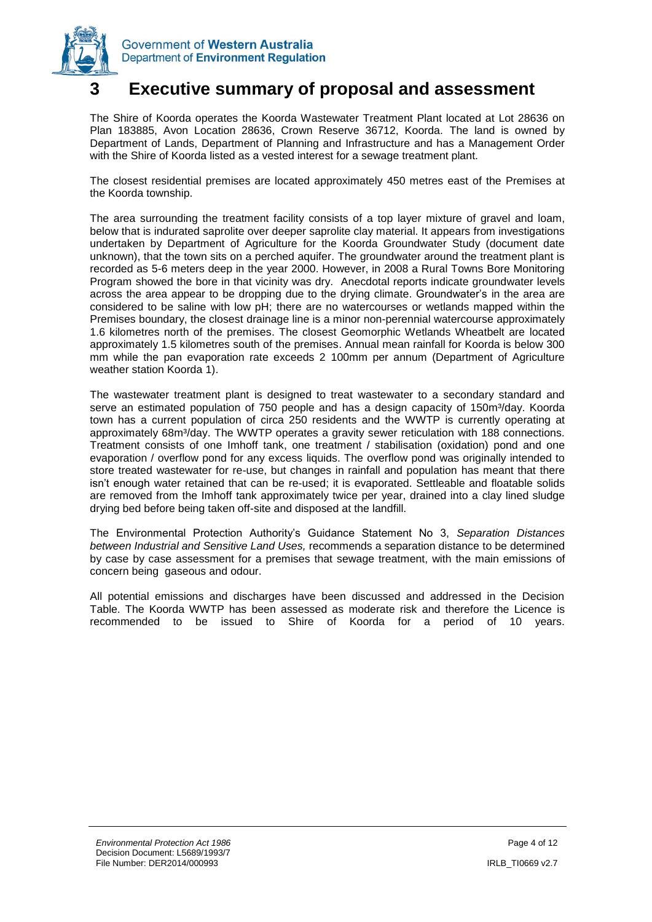

### <span id="page-16-0"></span>**3 Executive summary of proposal and assessment**

The Shire of Koorda operates the Koorda Wastewater Treatment Plant located at Lot 28636 on Plan 183885, Avon Location 28636, Crown Reserve 36712, Koorda. The land is owned by Department of Lands, Department of Planning and Infrastructure and has a Management Order with the Shire of Koorda listed as a vested interest for a sewage treatment plant.

The closest residential premises are located approximately 450 metres east of the Premises at the Koorda township.

The area surrounding the treatment facility consists of a top layer mixture of gravel and loam, below that is indurated saprolite over deeper saprolite clay material. It appears from investigations undertaken by Department of Agriculture for the Koorda Groundwater Study (document date unknown), that the town sits on a perched aquifer. The groundwater around the treatment plant is recorded as 5-6 meters deep in the year 2000. However, in 2008 a Rural Towns Bore Monitoring Program showed the bore in that vicinity was dry. Anecdotal reports indicate groundwater levels across the area appear to be dropping due to the drying climate. Groundwater's in the area are considered to be saline with low pH; there are no watercourses or wetlands mapped within the Premises boundary, the closest drainage line is a minor non-perennial watercourse approximately 1.6 kilometres north of the premises. The closest Geomorphic Wetlands Wheatbelt are located approximately 1.5 kilometres south of the premises. Annual mean rainfall for Koorda is below 300 mm while the pan evaporation rate exceeds 2 100mm per annum (Department of Agriculture weather station Koorda 1).

The wastewater treatment plant is designed to treat wastewater to a secondary standard and serve an estimated population of 750 people and has a design capacity of 150m<sup>3</sup>/day. Koorda town has a current population of circa 250 residents and the WWTP is currently operating at approximately 68m<sup>3</sup>/day. The WWTP operates a gravity sewer reticulation with 188 connections. Treatment consists of one Imhoff tank, one treatment / stabilisation (oxidation) pond and one evaporation / overflow pond for any excess liquids. The overflow pond was originally intended to store treated wastewater for re-use, but changes in rainfall and population has meant that there isn't enough water retained that can be re-used; it is evaporated. Settleable and floatable solids are removed from the Imhoff tank approximately twice per year, drained into a clay lined sludge drying bed before being taken off-site and disposed at the landfill.

The Environmental Protection Authority's Guidance Statement No 3, *Separation Distances between Industrial and Sensitive Land Uses,* recommends a separation distance to be determined by case by case assessment for a premises that sewage treatment, with the main emissions of concern being gaseous and odour.

All potential emissions and discharges have been discussed and addressed in the Decision Table. The Koorda WWTP has been assessed as moderate risk and therefore the Licence is recommended to be issued to Shire of Koorda for a period of 10 years.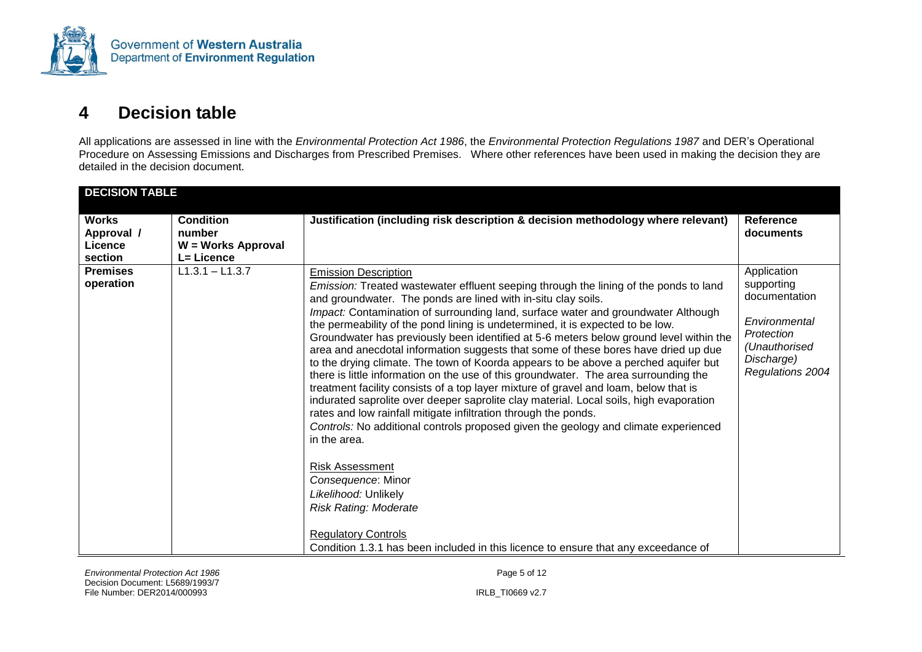

## **4 Decision table**

All applications are assessed in line with the *Environmental Protection Act 1986*, the *Environmental Protection Regulations 1987* and DER's Operational Procedure on Assessing Emissions and Discharges from Prescribed Premises. Where other references have been used in making the decision they are detailed in the decision document.

<span id="page-17-0"></span>

| <b>DECISION TABLE</b>                            |                                                                |                                                                                                                                                                                                                                                                                                                                                                                                                                                                                                                                                                                                                                                                                                                                                                                                                                                                                                                                                                                                                                                                                                                                                                                                                                                                                                                     |                                                                                                                              |
|--------------------------------------------------|----------------------------------------------------------------|---------------------------------------------------------------------------------------------------------------------------------------------------------------------------------------------------------------------------------------------------------------------------------------------------------------------------------------------------------------------------------------------------------------------------------------------------------------------------------------------------------------------------------------------------------------------------------------------------------------------------------------------------------------------------------------------------------------------------------------------------------------------------------------------------------------------------------------------------------------------------------------------------------------------------------------------------------------------------------------------------------------------------------------------------------------------------------------------------------------------------------------------------------------------------------------------------------------------------------------------------------------------------------------------------------------------|------------------------------------------------------------------------------------------------------------------------------|
| <b>Works</b><br>Approval /<br>Licence<br>section | <b>Condition</b><br>number<br>W = Works Approval<br>L= Licence | Justification (including risk description & decision methodology where relevant)                                                                                                                                                                                                                                                                                                                                                                                                                                                                                                                                                                                                                                                                                                                                                                                                                                                                                                                                                                                                                                                                                                                                                                                                                                    | <b>Reference</b><br>documents                                                                                                |
| <b>Premises</b><br>operation                     | $L1.3.1 - L1.3.7$                                              | <b>Emission Description</b><br>Emission: Treated wastewater effluent seeping through the lining of the ponds to land<br>and groundwater. The ponds are lined with in-situ clay soils.<br>Impact: Contamination of surrounding land, surface water and groundwater Although<br>the permeability of the pond lining is undetermined, it is expected to be low.<br>Groundwater has previously been identified at 5-6 meters below ground level within the<br>area and anecdotal information suggests that some of these bores have dried up due<br>to the drying climate. The town of Koorda appears to be above a perched aquifer but<br>there is little information on the use of this groundwater. The area surrounding the<br>treatment facility consists of a top layer mixture of gravel and loam, below that is<br>indurated saprolite over deeper saprolite clay material. Local soils, high evaporation<br>rates and low rainfall mitigate infiltration through the ponds.<br>Controls: No additional controls proposed given the geology and climate experienced<br>in the area.<br><b>Risk Assessment</b><br>Consequence: Minor<br>Likelihood: Unlikely<br><b>Risk Rating: Moderate</b><br><b>Regulatory Controls</b><br>Condition 1.3.1 has been included in this licence to ensure that any exceedance of | Application<br>supporting<br>documentation<br>Environmental<br>Protection<br>(Unauthorised<br>Discharge)<br>Regulations 2004 |

*Environmental Protection Act 1986* Page 5 of 12 Decision Document: L5689/1993/7 File Number: DER2014/000993 IRLB\_TI0669 v2.7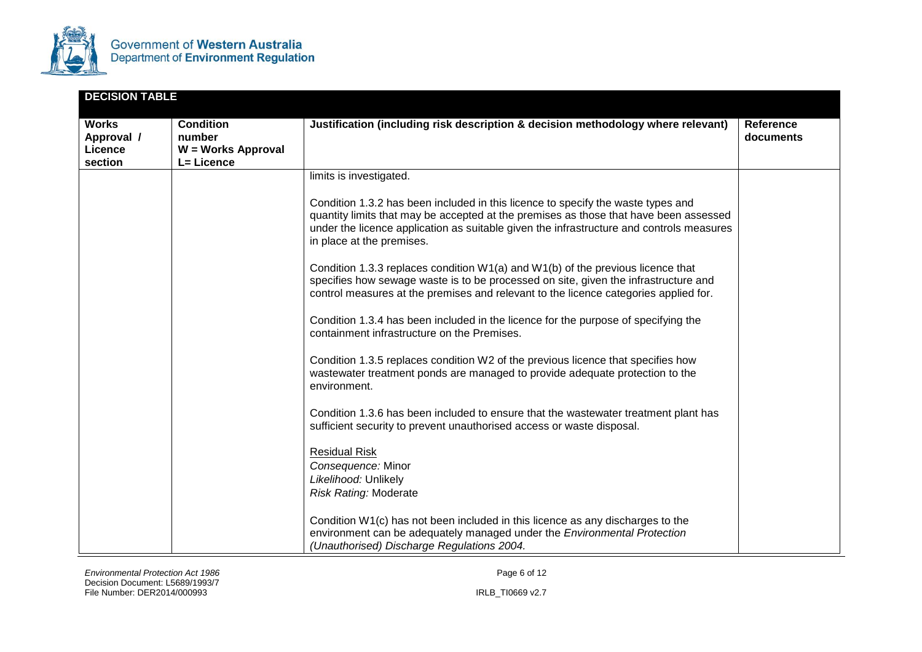

| <b>DECISION TABLE</b>                            |                                                                |                                                                                                                                                                                                                                                                                                    |                        |
|--------------------------------------------------|----------------------------------------------------------------|----------------------------------------------------------------------------------------------------------------------------------------------------------------------------------------------------------------------------------------------------------------------------------------------------|------------------------|
| <b>Works</b><br>Approval /<br>Licence<br>section | <b>Condition</b><br>number<br>W = Works Approval<br>L= Licence | Justification (including risk description & decision methodology where relevant)                                                                                                                                                                                                                   | Reference<br>documents |
|                                                  |                                                                | limits is investigated.                                                                                                                                                                                                                                                                            |                        |
|                                                  |                                                                | Condition 1.3.2 has been included in this licence to specify the waste types and<br>quantity limits that may be accepted at the premises as those that have been assessed<br>under the licence application as suitable given the infrastructure and controls measures<br>in place at the premises. |                        |
|                                                  |                                                                | Condition 1.3.3 replaces condition $W1(a)$ and $W1(b)$ of the previous licence that<br>specifies how sewage waste is to be processed on site, given the infrastructure and<br>control measures at the premises and relevant to the licence categories applied for.                                 |                        |
|                                                  |                                                                | Condition 1.3.4 has been included in the licence for the purpose of specifying the<br>containment infrastructure on the Premises.                                                                                                                                                                  |                        |
|                                                  |                                                                | Condition 1.3.5 replaces condition W2 of the previous licence that specifies how<br>wastewater treatment ponds are managed to provide adequate protection to the<br>environment.                                                                                                                   |                        |
|                                                  |                                                                | Condition 1.3.6 has been included to ensure that the wastewater treatment plant has<br>sufficient security to prevent unauthorised access or waste disposal.                                                                                                                                       |                        |
|                                                  |                                                                | <b>Residual Risk</b><br>Consequence: Minor<br>Likelihood: Unlikely<br><b>Risk Rating: Moderate</b>                                                                                                                                                                                                 |                        |
|                                                  |                                                                | Condition W1(c) has not been included in this licence as any discharges to the<br>environment can be adequately managed under the Environmental Protection<br>(Unauthorised) Discharge Regulations 2004.                                                                                           |                        |

*Environmental Protection Act 1986 Page 6 of 12* Decision Document: L5689/1993/7 File Number: DER2014/000993 IRLB\_TI0669 v2.7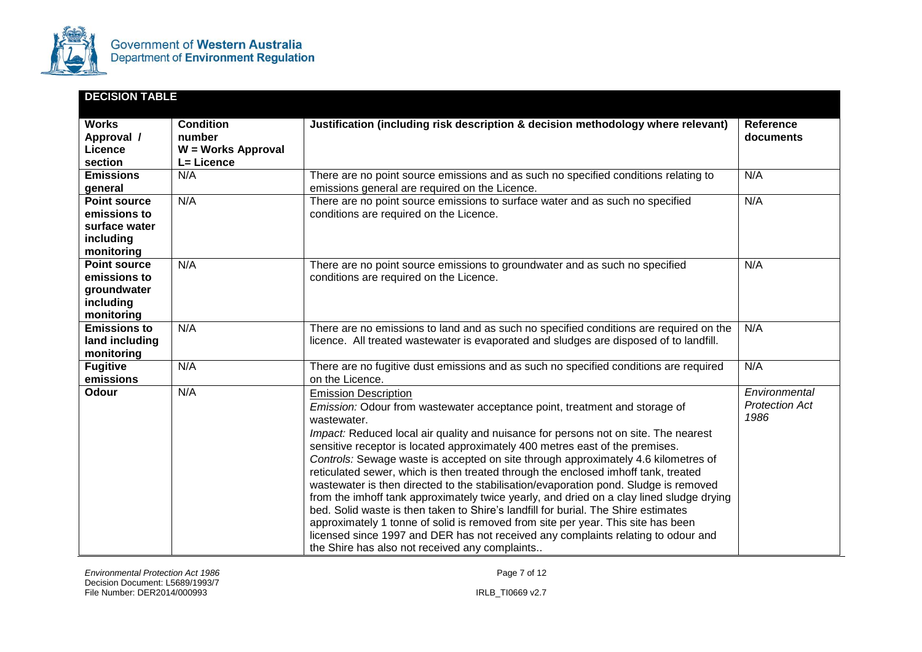

| <b>DECISION TABLE</b>                                                           |                                                                |                                                                                                                                                                                                                                                                                                                                                                                                                                                                                                                                                                                                                                                                                                                                                                                                                                                                                                                                                                                  |                                                |
|---------------------------------------------------------------------------------|----------------------------------------------------------------|----------------------------------------------------------------------------------------------------------------------------------------------------------------------------------------------------------------------------------------------------------------------------------------------------------------------------------------------------------------------------------------------------------------------------------------------------------------------------------------------------------------------------------------------------------------------------------------------------------------------------------------------------------------------------------------------------------------------------------------------------------------------------------------------------------------------------------------------------------------------------------------------------------------------------------------------------------------------------------|------------------------------------------------|
| <b>Works</b><br>Approval /<br>Licence<br>section                                | <b>Condition</b><br>number<br>W = Works Approval<br>L= Licence | Justification (including risk description & decision methodology where relevant)                                                                                                                                                                                                                                                                                                                                                                                                                                                                                                                                                                                                                                                                                                                                                                                                                                                                                                 | <b>Reference</b><br>documents                  |
| <b>Emissions</b><br>general                                                     | N/A                                                            | There are no point source emissions and as such no specified conditions relating to<br>emissions general are required on the Licence.                                                                                                                                                                                                                                                                                                                                                                                                                                                                                                                                                                                                                                                                                                                                                                                                                                            | N/A                                            |
| <b>Point source</b><br>emissions to<br>surface water<br>including<br>monitoring | N/A                                                            | There are no point source emissions to surface water and as such no specified<br>conditions are required on the Licence.                                                                                                                                                                                                                                                                                                                                                                                                                                                                                                                                                                                                                                                                                                                                                                                                                                                         | N/A                                            |
| <b>Point source</b><br>emissions to<br>groundwater<br>including<br>monitoring   | N/A                                                            | There are no point source emissions to groundwater and as such no specified<br>conditions are required on the Licence.                                                                                                                                                                                                                                                                                                                                                                                                                                                                                                                                                                                                                                                                                                                                                                                                                                                           | N/A                                            |
| <b>Emissions to</b><br>land including<br>monitoring                             | N/A                                                            | There are no emissions to land and as such no specified conditions are required on the<br>licence. All treated wastewater is evaporated and sludges are disposed of to landfill.                                                                                                                                                                                                                                                                                                                                                                                                                                                                                                                                                                                                                                                                                                                                                                                                 | N/A                                            |
| <b>Fugitive</b><br>emissions                                                    | N/A                                                            | There are no fugitive dust emissions and as such no specified conditions are required<br>on the Licence.                                                                                                                                                                                                                                                                                                                                                                                                                                                                                                                                                                                                                                                                                                                                                                                                                                                                         | N/A                                            |
| <b>Odour</b>                                                                    | N/A                                                            | <b>Emission Description</b><br>Emission: Odour from wastewater acceptance point, treatment and storage of<br>wastewater.<br>Impact: Reduced local air quality and nuisance for persons not on site. The nearest<br>sensitive receptor is located approximately 400 metres east of the premises.<br>Controls: Sewage waste is accepted on site through approximately 4.6 kilometres of<br>reticulated sewer, which is then treated through the enclosed imhoff tank, treated<br>wastewater is then directed to the stabilisation/evaporation pond. Sludge is removed<br>from the imhoff tank approximately twice yearly, and dried on a clay lined sludge drying<br>bed. Solid waste is then taken to Shire's landfill for burial. The Shire estimates<br>approximately 1 tonne of solid is removed from site per year. This site has been<br>licensed since 1997 and DER has not received any complaints relating to odour and<br>the Shire has also not received any complaints | Environmental<br><b>Protection Act</b><br>1986 |

*Environmental Protection Act 1986* Page 7 of 12 Decision Document: L5689/1993/7 File Number: DER2014/000993 IRLB\_TI0669 v2.7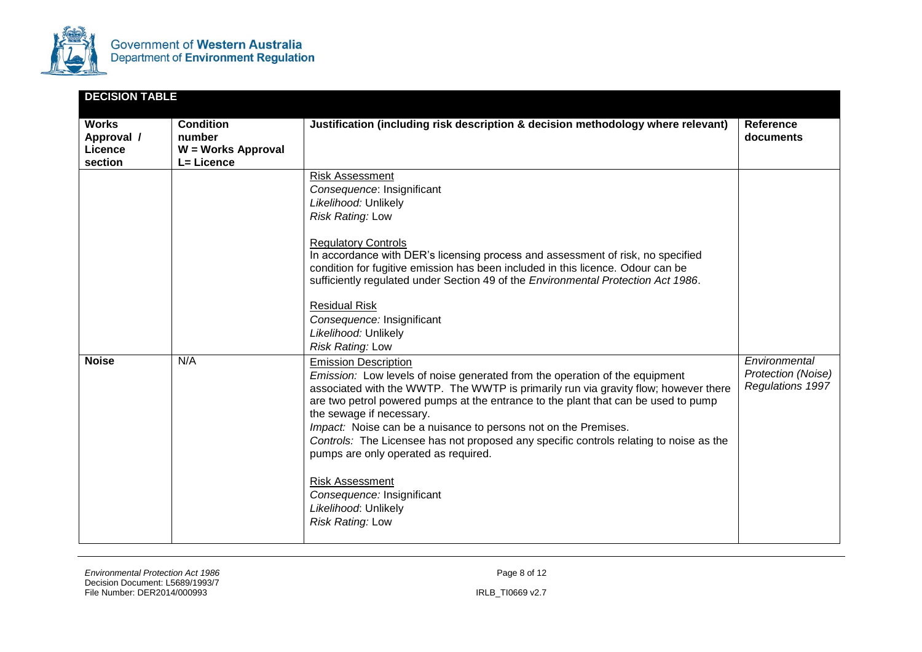

| <b>DECISION TABLE</b>                            |                                                                |                                                                                                                                                                                                                                                                                                                                                                                                                                                                                                                                                                                                                                     |                                                         |
|--------------------------------------------------|----------------------------------------------------------------|-------------------------------------------------------------------------------------------------------------------------------------------------------------------------------------------------------------------------------------------------------------------------------------------------------------------------------------------------------------------------------------------------------------------------------------------------------------------------------------------------------------------------------------------------------------------------------------------------------------------------------------|---------------------------------------------------------|
| <b>Works</b><br>Approval /<br>Licence<br>section | <b>Condition</b><br>number<br>W = Works Approval<br>L= Licence | Justification (including risk description & decision methodology where relevant)                                                                                                                                                                                                                                                                                                                                                                                                                                                                                                                                                    | Reference<br>documents                                  |
|                                                  |                                                                | Risk Assessment<br>Consequence: Insignificant<br>Likelihood: Unlikely<br>Risk Rating: Low<br><b>Regulatory Controls</b><br>In accordance with DER's licensing process and assessment of risk, no specified<br>condition for fugitive emission has been included in this licence. Odour can be<br>sufficiently regulated under Section 49 of the Environmental Protection Act 1986.<br><b>Residual Risk</b><br>Consequence: Insignificant<br>Likelihood: Unlikely<br>Risk Rating: Low                                                                                                                                                |                                                         |
| <b>Noise</b>                                     | N/A                                                            | <b>Emission Description</b><br>Emission: Low levels of noise generated from the operation of the equipment<br>associated with the WWTP. The WWTP is primarily run via gravity flow; however there<br>are two petrol powered pumps at the entrance to the plant that can be used to pump<br>the sewage if necessary.<br>Impact: Noise can be a nuisance to persons not on the Premises.<br>Controls: The Licensee has not proposed any specific controls relating to noise as the<br>pumps are only operated as required.<br><b>Risk Assessment</b><br>Consequence: Insignificant<br>Likelihood: Unlikely<br><b>Risk Rating: Low</b> | Environmental<br>Protection (Noise)<br>Regulations 1997 |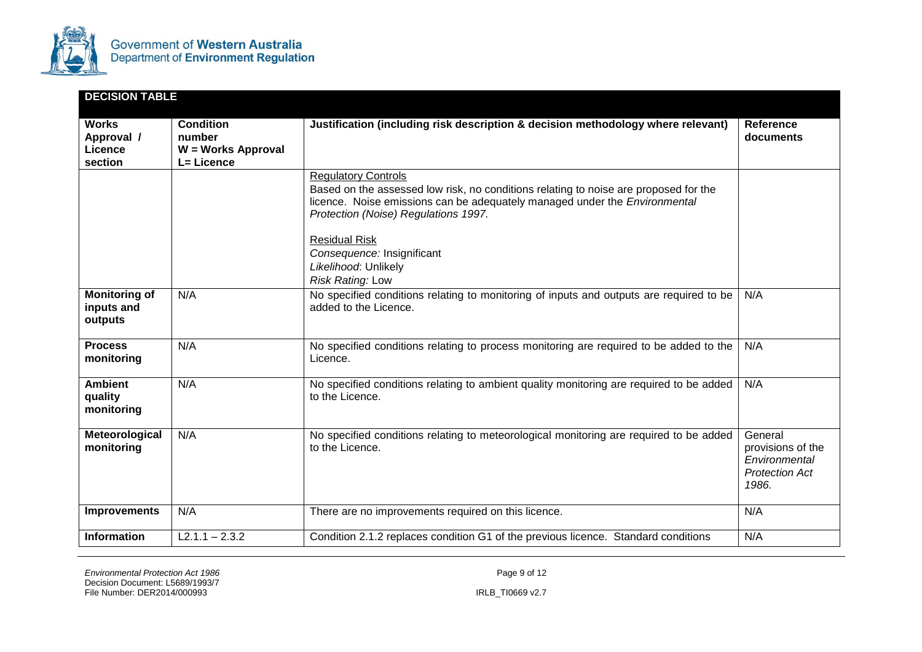

| <b>DECISION TABLE</b>                            |                                                                |                                                                                                                                                                                                                                                                         |                                                                                 |
|--------------------------------------------------|----------------------------------------------------------------|-------------------------------------------------------------------------------------------------------------------------------------------------------------------------------------------------------------------------------------------------------------------------|---------------------------------------------------------------------------------|
| <b>Works</b><br>Approval /<br>Licence<br>section | <b>Condition</b><br>number<br>W = Works Approval<br>L= Licence | Justification (including risk description & decision methodology where relevant)                                                                                                                                                                                        | <b>Reference</b><br>documents                                                   |
|                                                  |                                                                | <b>Regulatory Controls</b><br>Based on the assessed low risk, no conditions relating to noise are proposed for the<br>licence. Noise emissions can be adequately managed under the <i>Environmental</i><br>Protection (Noise) Regulations 1997.<br><b>Residual Risk</b> |                                                                                 |
|                                                  |                                                                | Consequence: Insignificant<br>Likelihood: Unlikely<br>Risk Rating: Low                                                                                                                                                                                                  |                                                                                 |
| <b>Monitoring of</b><br>inputs and<br>outputs    | N/A                                                            | No specified conditions relating to monitoring of inputs and outputs are required to be<br>added to the Licence.                                                                                                                                                        | N/A                                                                             |
| <b>Process</b><br>monitoring                     | N/A                                                            | No specified conditions relating to process monitoring are required to be added to the<br>Licence.                                                                                                                                                                      | N/A                                                                             |
| <b>Ambient</b><br>quality<br>monitoring          | N/A                                                            | No specified conditions relating to ambient quality monitoring are required to be added<br>to the Licence.                                                                                                                                                              | N/A                                                                             |
| Meteorological<br>monitoring                     | N/A                                                            | No specified conditions relating to meteorological monitoring are required to be added<br>to the Licence.                                                                                                                                                               | General<br>provisions of the<br>Environmental<br><b>Protection Act</b><br>1986. |
| <b>Improvements</b>                              | N/A                                                            | There are no improvements required on this licence.                                                                                                                                                                                                                     | N/A                                                                             |
| <b>Information</b>                               | $L2.1.1 - 2.3.2$                                               | Condition 2.1.2 replaces condition G1 of the previous licence. Standard conditions                                                                                                                                                                                      | N/A                                                                             |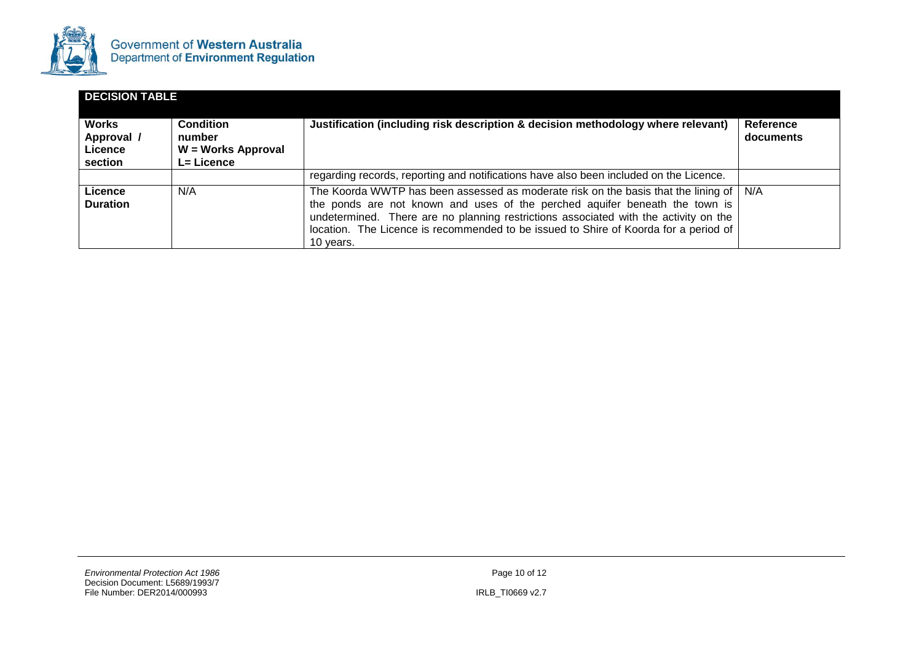

| <b>DECISION TABLE</b>                            |                                                                       |                                                                                                                                                                                                                                                                                                                                                                    |                        |  |
|--------------------------------------------------|-----------------------------------------------------------------------|--------------------------------------------------------------------------------------------------------------------------------------------------------------------------------------------------------------------------------------------------------------------------------------------------------------------------------------------------------------------|------------------------|--|
| <b>Works</b><br>Approval /<br>Licence<br>section | <b>Condition</b><br>number<br>W = Works Approval<br><b>L= Licence</b> | Justification (including risk description & decision methodology where relevant)                                                                                                                                                                                                                                                                                   | Reference<br>documents |  |
|                                                  |                                                                       | regarding records, reporting and notifications have also been included on the Licence.                                                                                                                                                                                                                                                                             |                        |  |
| Licence<br><b>Duration</b>                       | N/A                                                                   | The Koorda WWTP has been assessed as moderate risk on the basis that the lining of N/A<br>the ponds are not known and uses of the perched aquifer beneath the town is<br>undetermined. There are no planning restrictions associated with the activity on the<br>location. The Licence is recommended to be issued to Shire of Koorda for a period of<br>10 years. |                        |  |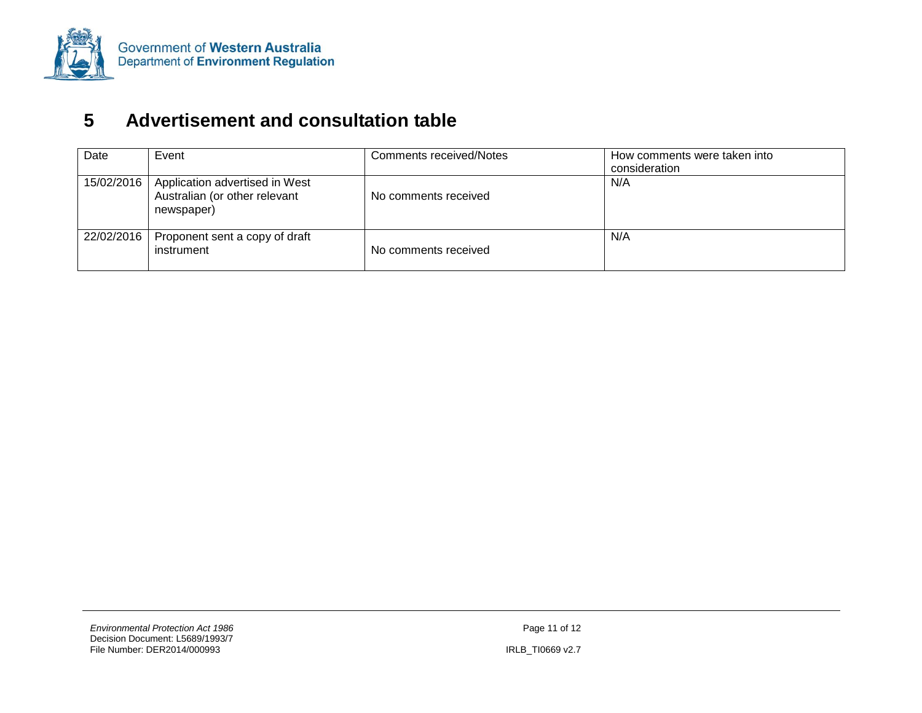

# **5 Advertisement and consultation table**

<span id="page-23-0"></span>

| Date       | Event                                                                         | Comments received/Notes | How comments were taken into<br>consideration |
|------------|-------------------------------------------------------------------------------|-------------------------|-----------------------------------------------|
| 15/02/2016 | Application advertised in West<br>Australian (or other relevant<br>newspaper) | No comments received    | N/A                                           |
| 22/02/2016 | Proponent sent a copy of draft<br>instrument                                  | No comments received    | N/A                                           |